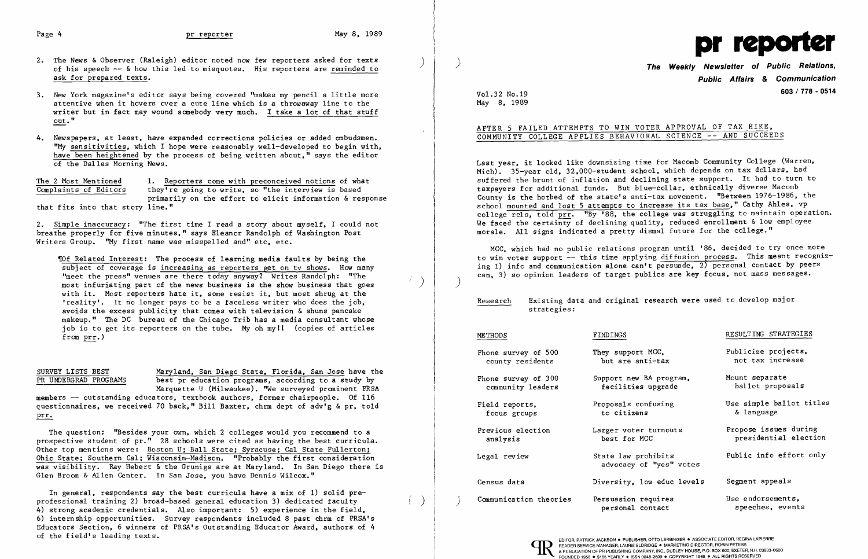### Page 4 and the preporter method of the May 8. 1989

- 2. The News & Observer (Raleigh) editor noted now few reporters asked for texts of his speech  $-$  & how this led to misquotes. His reporters are reminded to ask for prepared texts.
- 3. New York magazine's editor says being covered "makes my pencil a little more attentive when it hovers over a cute line which is a throwaway line to the writer but in fact may wound somebody very much. I take a lot of that stuff out."
- 4. Newspapers, at least, have expanded corrections policies or added ombudsmen. "My sensitivities. which I hope were reasonably well-developed to begin with. have been heightened by the process of being written about." says the editor of the Dallas Morning News.

The 2 Most Mentioned 1. Reporters come with preconceived notions of what<br>Complaints of Editors they're going to write, so "the interview is based they're going to write, so "the interview is based primarily on the effort to elicit information & response that fits into that story line."

'Of Related Interest: The process of learning media faults by being the subject of coverage is increasing as reporters get on tv shows. How many "meet the press" venues are there today anyway? Writes Randolph: "The "meet the press" venues are there today anyway! Writes Kandolph: "The  $\frac{1}{2}$ with it. Most reporters hate it. some resist it. but most shrug at the 'reality'. It no longer pays to be a faceless writer who does the job. avoids the excess publicity that comes with television & shuns pancake makeup." The DC bureau of the Chicago Trib has a media consultant whose job is to get its reporters on the tube. My oh my!! (copies of articles from prr.)

2. Simple inaccuracy: "The first time I read a story about myself. I could not brea the properly for five minutes." says Eleanor Randolph of Washington Post Writers Group. "My first name was misspelled and" etc. etc.

SURVEY LISTS BEST Maryland, San Diego State, Florida, San Jose have the<br>PR UNDERGRAD PROGRAMS best pr education programs, according to a study by best pr education programs, according to a study by Marquette U (Milwaukee). "We surveyed prominent PRSA members -- outstanding educators, textbook authors, former chairpeople. Of 116 questionnaires, we received 70 back." Bill Baxter, chrm dept of adv'g & pr, told prr.

In general. respondents say the best curricula have a mix of 1) solid preprofessional training 2) broad-based general education 3) dedicated faculty ( ) 4) strong academic credentials. Also important: 5) experience in the field. 6) internship opportunities. Survey respondents included 8 past chrm of PRSA's Educators Section, 6 winners of PRSA's Outstanding Educator Award, authors of 4 of the field's leading texts.

**The Weekly Newsletter of Public Relations, Public Affairs** *&* **Communication 603 / 778 - 0514** 

Research Existing data and original research were used to develop major

## AFTER 5 FAILED ATTEMPTS TO WIN VOTER APPROVAL OF TAX HIKE. AFTER 5 FAILED ATTEMPTS TO WIN VOTER APPROVAL OF TAX HIKE,<br>COMMUNITY COLLEGE APPLIES BEHAVIORAL SCIENCE -- AND SUCCEEDS

Last year, it looked like downsizing time for Macomb Community College (Warren, Mich). 35-year old, 32,000-student school, which depends on tax dollars, had suffered the brunt of inflation and declining state support. It had to turn to taxpayers for additional funds. But blue-collar. ethnically diverse Macomb County is the hotbed of the state's anti-tax movement. "Between 1976-1986. the school mounted and lost 5 attempts to increase its tax base." Cathy Ahles, vp college rels, told prr. "By '88, the college was struggling to maintain operation. We faced the certainty of declining quality, reduced enrollment & low employee morale. All signs indicated a pretty dismal future for the college."

MCC, which had no public relations program until '86. decided to try once more to win voter support -- this time applying diffusion process. This meant recognizing 1) info and communication alone can't persuade, 2) personal contact by peers can, 3) so opinion leaders of target publics are key focus, not mass messages.

The question: "Besides your own. which 2 colleges would you recommend to a prospective student of pr." 28 schools were cited as having the best curricula. Other top mentions were: Boston U; Ball State; Syracuse; Cal State Fullerton; Ohio State; Southern Cal; Wisconsin-Madison. "Probably the first consideration was visibility. Ray Hebert & the Grunigs are at Maryland. In San Diego there is Glen Broom & Allen Center. In San Jose. you have Dennis Wilcox."



Vo1.32 No.19 May 8. 1989

)

 $\cdot$ 

# strategies:

| <b>METHODS</b>                           | FINDINGS                                       | RESULTING STRATEGIES                           |
|------------------------------------------|------------------------------------------------|------------------------------------------------|
| Phone survey of 500<br>county residents  | They support MCC,<br>but are anti-tax          | Publicize projects,<br>not tax increase        |
| Phone survey of 300<br>community leaders | Support new BA program,<br>facilities upgrade  | Mount separate<br>ballot proposals             |
| Field reports,<br>focus groups           | Proposals confusing<br>to citizens             | Use simple ballot titles<br>& language         |
| Previous election<br>analysis            | Larger voter turnouts<br>best for MCC          | Propose issues during<br>presidential election |
| Legal review                             | State law prohibits<br>advocacy of "yes" votes | Public info effort only                        |
| Census data                              | Diversity, low educ levels                     | Segment appeals                                |
| Communication theories                   | Persuasion requires<br>personal contact        | Use endorsements,<br>speeches, events          |
|                                          |                                                |                                                |